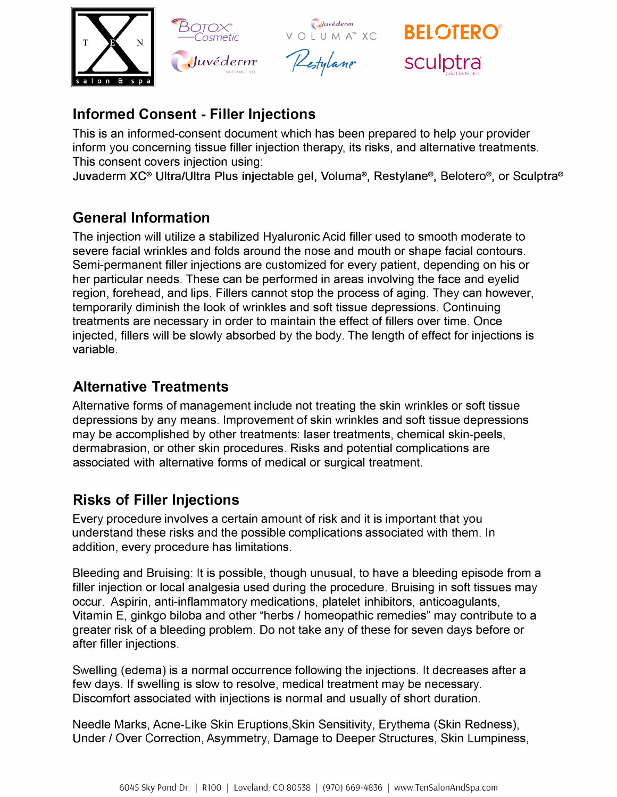

# **Informed Consent - Filler Injections**

This is an informed-consent document which has been prepared to help your provider inform you concerning tissue filler injection therapy, its risks, and alternative treatments. This consent covers injection using:

Juvaderm XC<sup>®</sup> Ultra/Ultra Plus injectable gel, Voluma®, Restylane®, Belotero®, or Sculptra®

## **General Information**

The injection will utilize a stabilized Hyaluronic Acid filler used to smooth moderate to severe facial wrinkles and folds around the nose and mouth or shape facial contours. Semi-permanent filler injections are customized for every patient, depending on his or her particular needs. These can be performed in areas involving the face and eyelid region, forehead, and lips. Fillers cannot stop the process of aging. They can however, temporarily diminish the look of wrinkles and soft tissue depressions. Continuing treatments are necessary in order to maintain the effect of fillers over time. Once injected, fillers will be slowly absorbed by the body. The length of effect for injections is variable.

## **Alternative Treatments**

Alternative forms of management include not treating the skin wrinkles or soft tissue depressions by any means. Improvement of skin wrinkles and soft tissue depressions may be accomplished by other treatments: laser treatments, chemical skin-peels, dermabrasion, or other skin procedures. Risks and potential complications are associated with alternative forms of medical or surgical treatment.

## **Risks of Filler Injections**

Every procedure involves a certain amount of risk and it is important that you understand these risks and the possible complications associated with them. In addition, every procedure has limitations.

Bleeding and Bruising: It is possible, though unusual, to have a bleeding episode from a filler injection or local analgesia used during the procedure. Bruising in soft tissues may occur. Aspirin, anti-inflammatory medications, platelet inhibitors, anticoagulants, Vitamin E, ginkgo biloba and other "herbs / homeopathic remedies" may contribute to a greater risk of a bleeding problem. Do not take any of these for seven days before or after filler injections.

Swelling (edema) is a normal occurrence following the injections. It decreases after a few days. If swelling is slow to resolve, medical treatment may be necessary. Discomfort associated with injections is normal and usually of short duration.

Needle Marks, Acne-Like Skin Eruptions,Skin Sensitivity, Erythema (Skin Redness), Under/ Over Correction, Asymmetry, Damage to Deeper Structures, Skin Lumpiness,